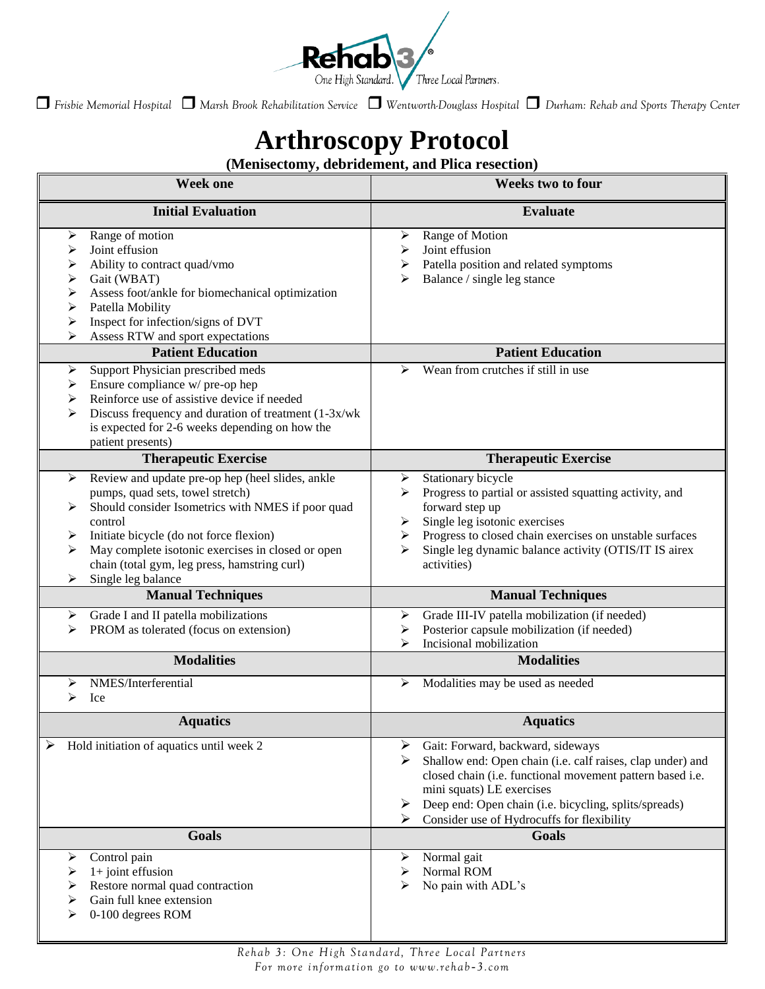

*Frisbie Memorial Hospital Marsh Brook Rehabilitation Service Wentworth-Douglass Hospital Durham: Rehab and Sports Therapy Center*

## **Arthroscopy Protocol**

## **(Menisectomy, debridement, and Plica resection)**

| <b>Week one</b>                                                                                                                                                                                                                                                                                                                                     | Weeks two to four                                                                                                                                                                                                                                                                                               |
|-----------------------------------------------------------------------------------------------------------------------------------------------------------------------------------------------------------------------------------------------------------------------------------------------------------------------------------------------------|-----------------------------------------------------------------------------------------------------------------------------------------------------------------------------------------------------------------------------------------------------------------------------------------------------------------|
| <b>Initial Evaluation</b>                                                                                                                                                                                                                                                                                                                           | <b>Evaluate</b>                                                                                                                                                                                                                                                                                                 |
| Range of motion<br>➤<br>Joint effusion<br>⋗<br>Ability to contract quad/vmo<br>➤<br>Gait (WBAT)<br>➤<br>Assess foot/ankle for biomechanical optimization<br>➤<br>Patella Mobility<br>➤<br>Inspect for infection/signs of DVT<br>➤<br>Assess RTW and sport expectations                                                                              | Range of Motion<br>➤<br>Joint effusion<br>⋗<br>Patella position and related symptoms<br>➤<br>Balance / single leg stance<br>⋗                                                                                                                                                                                   |
| <b>Patient Education</b>                                                                                                                                                                                                                                                                                                                            | <b>Patient Education</b>                                                                                                                                                                                                                                                                                        |
| Support Physician prescribed meds<br>➤<br>Ensure compliance w/ pre-op hep<br>➤<br>Reinforce use of assistive device if needed<br>➤<br>Discuss frequency and duration of treatment (1-3x/wk)<br>⋗<br>is expected for 2-6 weeks depending on how the<br>patient presents)                                                                             | Wean from crutches if still in use<br>➤                                                                                                                                                                                                                                                                         |
| <b>Therapeutic Exercise</b>                                                                                                                                                                                                                                                                                                                         | <b>Therapeutic Exercise</b>                                                                                                                                                                                                                                                                                     |
| Review and update pre-op hep (heel slides, ankle<br>⋗<br>pumps, quad sets, towel stretch)<br>Should consider Isometrics with NMES if poor quad<br>⋗<br>control<br>Initiate bicycle (do not force flexion)<br>➤<br>May complete isotonic exercises in closed or open<br>⋗<br>chain (total gym, leg press, hamstring curl)<br>Single leg balance<br>⋗ | Stationary bicycle<br>➤<br>Progress to partial or assisted squatting activity, and<br>forward step up<br>Single leg isotonic exercises<br>➤<br>Progress to closed chain exercises on unstable surfaces<br>➤<br>Single leg dynamic balance activity (OTIS/IT IS airex<br>⋗<br>activities)                        |
| <b>Manual Techniques</b>                                                                                                                                                                                                                                                                                                                            | <b>Manual Techniques</b>                                                                                                                                                                                                                                                                                        |
| Grade I and II patella mobilizations<br>⋗<br>PROM as tolerated (focus on extension)                                                                                                                                                                                                                                                                 | Grade III-IV patella mobilization (if needed)<br>➤<br>Posterior capsule mobilization (if needed)<br>➤<br>Incisional mobilization<br>⋗                                                                                                                                                                           |
| <b>Modalities</b>                                                                                                                                                                                                                                                                                                                                   | <b>Modalities</b>                                                                                                                                                                                                                                                                                               |
| NMES/Interferential<br>Ice<br>⋗                                                                                                                                                                                                                                                                                                                     | Modalities may be used as needed<br>➤                                                                                                                                                                                                                                                                           |
| <b>Aquatics</b>                                                                                                                                                                                                                                                                                                                                     | <b>Aquatics</b>                                                                                                                                                                                                                                                                                                 |
| Hold initiation of aquatics until week 2                                                                                                                                                                                                                                                                                                            | Gait: Forward, backward, sideways<br>➤<br>Shallow end: Open chain (i.e. calf raises, clap under) and<br>⋗<br>closed chain (i.e. functional movement pattern based i.e.<br>mini squats) LE exercises<br>Deep end: Open chain (i.e. bicycling, splits/spreads)<br>➤<br>Consider use of Hydrocuffs for flexibility |
| <b>Goals</b>                                                                                                                                                                                                                                                                                                                                        | <b>Goals</b>                                                                                                                                                                                                                                                                                                    |
| Control pain<br>➤<br>$1+$ joint effusion<br>➤<br>Restore normal quad contraction<br>⋗<br>Gain full knee extension<br>0-100 degrees ROM                                                                                                                                                                                                              | Normal gait<br>⋗<br>Normal ROM<br>No pain with ADL's<br>⋗                                                                                                                                                                                                                                                       |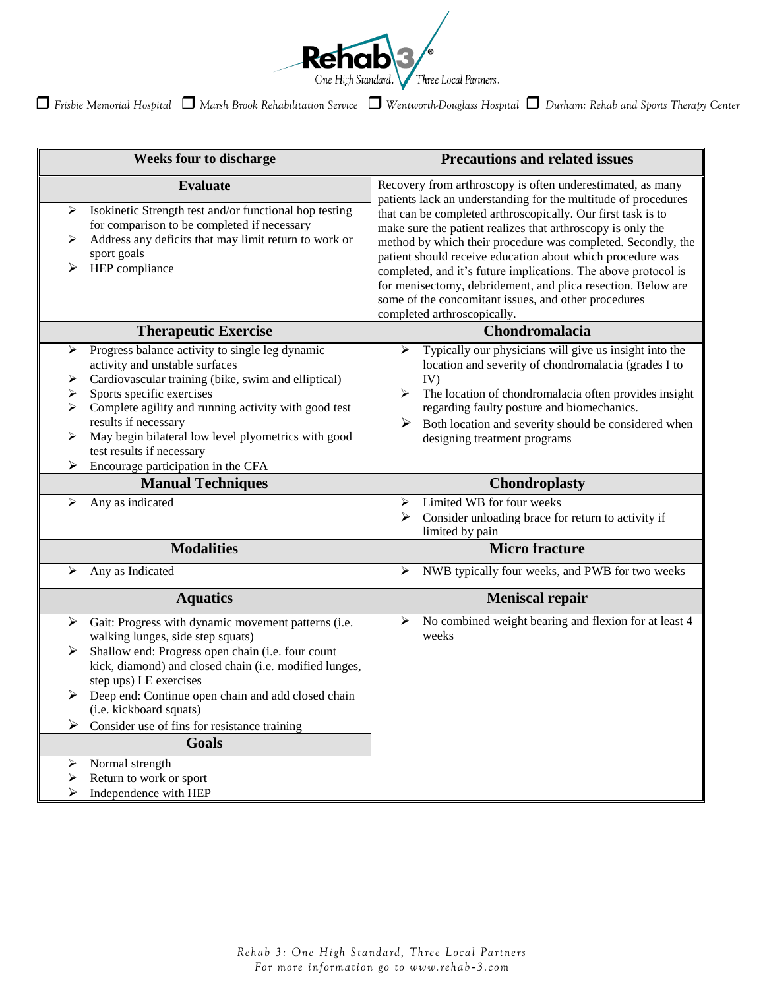

*Frisbie Memorial Hospital Marsh Brook Rehabilitation Service Wentworth-Douglass Hospital Durham: Rehab and Sports Therapy Center*

| <b>Weeks four to discharge</b>                                                                                                                                                                                                                                                                                                                                                                                | <b>Precautions and related issues</b>                                                                                                                                                                                                                                                                                                                                                                                                                                                                                                                                                                              |
|---------------------------------------------------------------------------------------------------------------------------------------------------------------------------------------------------------------------------------------------------------------------------------------------------------------------------------------------------------------------------------------------------------------|--------------------------------------------------------------------------------------------------------------------------------------------------------------------------------------------------------------------------------------------------------------------------------------------------------------------------------------------------------------------------------------------------------------------------------------------------------------------------------------------------------------------------------------------------------------------------------------------------------------------|
| <b>Evaluate</b><br>Isokinetic Strength test and/or functional hop testing<br>➤<br>for comparison to be completed if necessary<br>Address any deficits that may limit return to work or<br>⋗<br>sport goals<br>HEP compliance                                                                                                                                                                                  | Recovery from arthroscopy is often underestimated, as many<br>patients lack an understanding for the multitude of procedures<br>that can be completed arthroscopically. Our first task is to<br>make sure the patient realizes that arthroscopy is only the<br>method by which their procedure was completed. Secondly, the<br>patient should receive education about which procedure was<br>completed, and it's future implications. The above protocol is<br>for menisectomy, debridement, and plica resection. Below are<br>some of the concomitant issues, and other procedures<br>completed arthroscopically. |
| <b>Therapeutic Exercise</b>                                                                                                                                                                                                                                                                                                                                                                                   | Chondromalacia                                                                                                                                                                                                                                                                                                                                                                                                                                                                                                                                                                                                     |
| Progress balance activity to single leg dynamic<br>➤<br>activity and unstable surfaces<br>Cardiovascular training (bike, swim and elliptical)<br>➤<br>Sports specific exercises<br>➤<br>Complete agility and running activity with good test<br>➤<br>results if necessary<br>May begin bilateral low level plyometrics with good<br>➤<br>test results if necessary<br>Encourage participation in the CFA<br>➤ | Typically our physicians will give us insight into the<br>➤<br>location and severity of chondromalacia (grades I to<br>IV)<br>≻<br>The location of chondromalacia often provides insight<br>regarding faulty posture and biomechanics.<br>Both location and severity should be considered when<br>➤<br>designing treatment programs                                                                                                                                                                                                                                                                                |
| <b>Manual Techniques</b>                                                                                                                                                                                                                                                                                                                                                                                      | <b>Chondroplasty</b>                                                                                                                                                                                                                                                                                                                                                                                                                                                                                                                                                                                               |
| Any as indicated<br>⋗                                                                                                                                                                                                                                                                                                                                                                                         | Limited WB for four weeks<br>⋗<br>➤<br>Consider unloading brace for return to activity if<br>limited by pain                                                                                                                                                                                                                                                                                                                                                                                                                                                                                                       |
|                                                                                                                                                                                                                                                                                                                                                                                                               |                                                                                                                                                                                                                                                                                                                                                                                                                                                                                                                                                                                                                    |
| <b>Modalities</b>                                                                                                                                                                                                                                                                                                                                                                                             | <b>Micro fracture</b>                                                                                                                                                                                                                                                                                                                                                                                                                                                                                                                                                                                              |
| Any as Indicated<br>⋗                                                                                                                                                                                                                                                                                                                                                                                         | NWB typically four weeks, and PWB for two weeks<br>➤                                                                                                                                                                                                                                                                                                                                                                                                                                                                                                                                                               |
| <b>Aquatics</b>                                                                                                                                                                                                                                                                                                                                                                                               | <b>Meniscal repair</b>                                                                                                                                                                                                                                                                                                                                                                                                                                                                                                                                                                                             |
| Gait: Progress with dynamic movement patterns (i.e.<br>➤<br>walking lunges, side step squats)<br>Shallow end: Progress open chain (i.e. four count<br>➤<br>kick, diamond) and closed chain (i.e. modified lunges,<br>step ups) LE exercises<br>➤<br>Deep end: Continue open chain and add closed chain<br>(i.e. kickboard squats)<br>Consider use of fins for resistance training<br>➤                        | No combined weight bearing and flexion for at least 4<br>➤<br>weeks                                                                                                                                                                                                                                                                                                                                                                                                                                                                                                                                                |
| <b>Goals</b><br>Normal strength                                                                                                                                                                                                                                                                                                                                                                               |                                                                                                                                                                                                                                                                                                                                                                                                                                                                                                                                                                                                                    |